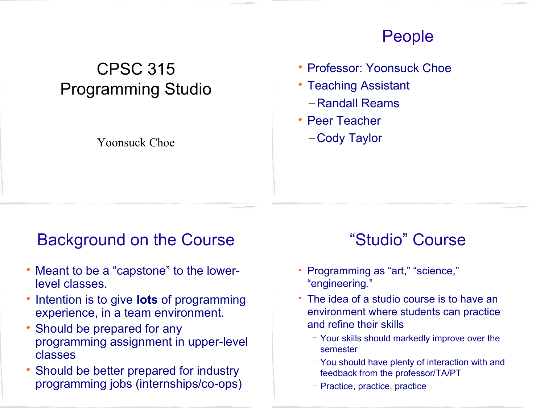## CPSC 315 Programming Studio

#### Yoonsuck Choe

### People

- Professor: Yoonsuck Choe
- Teaching Assistant
	- Randall Reams
- Peer Teacher
	- Cody Taylor

### Background on the Course

- Meant to be a "capstone" to the lowerlevel classes.
- Intention is to give **lots** of programming experience, in a team environment.
- Should be prepared for any programming assignment in upper-level classes
- Should be better prepared for industry programming jobs (internships/co-ops)

## "Studio" Course

- Programming as "art," "science," "engineering."
- The idea of a studio course is to have an environment where students can practice and refine their skills
	- − Your skills should markedly improve over the semester
	- − You should have plenty of interaction with and feedback from the professor/TA/PT
	- − Practice, practice, practice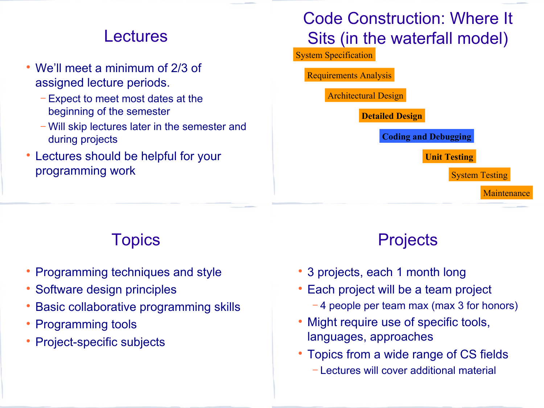### **Lectures**

- We'll meet a minimum of 2/3 of assigned lecture periods.
	- − Expect to meet most dates at the beginning of the semester
	- − Will skip lectures later in the semester and during projects
- Lectures should be helpful for your programming work

## Code Construction: Where It Sits (in the waterfall model)

System Specification

Requirements Analysis

Architectural Design

**Detailed Design**

**Coding and Debugging**

**Unit Testing**

System Testing

**Maintenance** 

## **Topics**

- Programming techniques and style
- Software design principles
- Basic collaborative programming skills
- Programming tools
- Project-specific subjects

## **Projects**

- 3 projects, each 1 month long
- Each project will be a team project
	- − 4 people per team max (max 3 for honors)
- Might require use of specific tools, languages, approaches
- Topics from a wide range of CS fields
	- − Lectures will cover additional material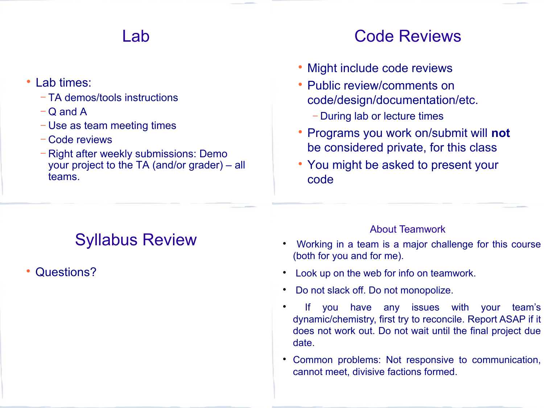#### Lab

- Lab times:
	- − TA demos/tools instructions
	- − Q and A
	- − Use as team meeting times
	- − Code reviews
	- − Right after weekly submissions: Demo your project to the TA (and/or grader) – all teams.

### Code Reviews

- Might include code reviews
- Public review/comments on code/design/documentation/etc.
	- − During lab or lecture times
- Programs you work on/submit will **not** be considered private, for this class
- You might be asked to present your code

## Syllabus Review

Questions?

#### About Teamwork

- Working in a team is a major challenge for this course (both for you and for me).
- Look up on the web for info on teamwork.
- Do not slack off. Do not monopolize.
- If you have any issues with your team's dynamic/chemistry, first try to reconcile. Report ASAP if it does not work out. Do not wait until the final project due date.
- Common problems: Not responsive to communication, cannot meet, divisive factions formed.